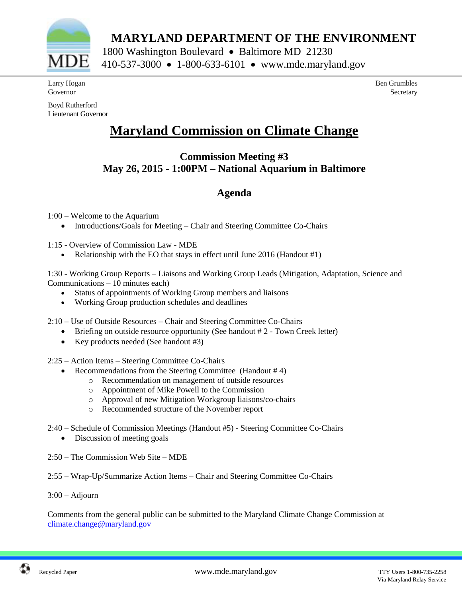

 **MARYLAND DEPARTMENT OF THE ENVIRONMENT**

1800 Washington Boulevard • Baltimore MD 21230 410-537-3000 1-800-633-6101 www.mde.maryland.gov

Larry Hogan Governor

Boyd Rutherford Lieutenant Governor

# **Secretary**

Ben Grumbles

## **Maryland Commission on Climate Change**

## **Commission Meeting #3 May 26, 2015 - 1:00PM – National Aquarium in Baltimore**

## **Agenda**

1:00 – Welcome to the Aquarium

• Introductions/Goals for Meeting – Chair and Steering Committee Co-Chairs

1:15 - Overview of Commission Law - MDE

• Relationship with the EO that stays in effect until June 2016 (Handout  $\#1$ )

1:30 - Working Group Reports – Liaisons and Working Group Leads (Mitigation, Adaptation, Science and Communications – 10 minutes each)

- Status of appointments of Working Group members and liaisons
- Working Group production schedules and deadlines

2:10 – Use of Outside Resources – Chair and Steering Committee Co-Chairs

- Briefing on outside resource opportunity (See handout #2 Town Creek letter)
- Key products needed (See handout #3)

2:25 – Action Items – Steering Committee Co-Chairs

- Recommendations from the Steering Committee (Handout # 4)
	- o Recommendation on management of outside resources
	- o Appointment of Mike Powell to the Commission
	- o Approval of new Mitigation Workgroup liaisons/co-chairs
	- o Recommended structure of the November report
- 2:40 Schedule of Commission Meetings (Handout #5) Steering Committee Co-Chairs
	- Discussion of meeting goals
- 2:50 The Commission Web Site MDE
- 2:55 Wrap-Up/Summarize Action Items Chair and Steering Committee Co-Chairs

3:00 – Adjourn

Comments from the general public can be submitted to the Maryland Climate Change Commission at [climate.change@maryland.gov](mailto:climate.change@maryland.gov)